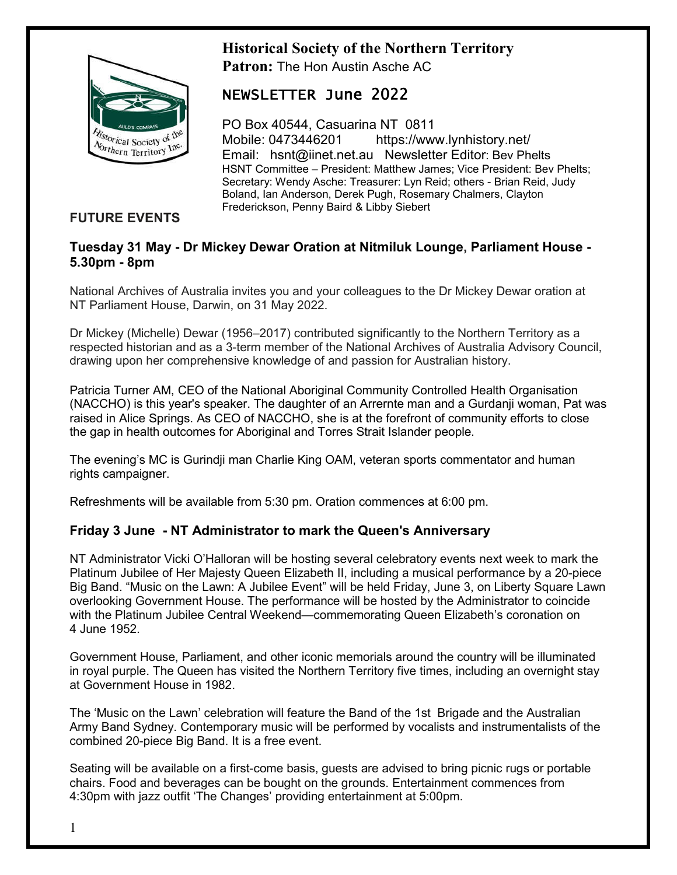# **Historical Society of the Northern Territory**



**Patron:** The Hon Austin Asche AC

## NEWSLETTER June 2022

PO Box 40544, Casuarina NT 0811 Mobile: 0473446201 https://www.lynhistory.net/ Email: hsnt@iinet.net.au Newsletter Editor: Bev Phelts HSNT Committee – President: Matthew James; Vice President: Bev Phelts; Secretary: Wendy Asche: Treasurer: Lyn Reid; others - Brian Reid, Judy Boland, Ian Anderson, Derek Pugh, Rosemary Chalmers, Clayton Frederickson, Penny Baird & Libby Siebert

## **FUTURE EVENTS**

#### **Tuesday 31 May - Dr Mickey Dewar Oration at Nitmiluk Lounge, Parliament House - 5.30pm - 8pm**

National Archives of Australia invites you and your colleagues to the Dr Mickey Dewar oration at NT Parliament House, Darwin, on 31 May 2022.

Dr Mickey (Michelle) Dewar (1956–2017) contributed significantly to the Northern Territory as a respected historian and as a 3-term member of the National Archives of Australia Advisory Council, drawing upon her comprehensive knowledge of and passion for Australian history.

Patricia Turner AM, CEO of the National Aboriginal Community Controlled Health Organisation (NACCHO) is this year's speaker. The daughter of an Arrernte man and a Gurdanji woman, Pat was raised in Alice Springs. As CEO of NACCHO, she is at the forefront of community efforts to close the gap in health outcomes for Aboriginal and Torres Strait Islander people.

The evening's MC is Gurindji man Charlie King OAM, veteran sports commentator and human rights campaigner.

Refreshments will be available from 5:30 pm. Oration commences at 6:00 pm.

#### **Friday 3 June - NT Administrator to mark the Queen's Anniversary**

NT Administrator Vicki O'Halloran will be hosting several celebratory events next week to mark the Platinum Jubilee of Her Majesty Queen Elizabeth II, including a musical performance by a 20-piece Big Band. "Music on the Lawn: A Jubilee Event" will be held Friday, June 3, on Liberty Square Lawn overlooking Government House. The performance will be hosted by the Administrator to coincide with the Platinum Jubilee Central Weekend—commemorating Queen Elizabeth's coronation on 4 June 1952.

Government House, Parliament, and other iconic memorials around the country will be illuminated in royal purple. The Queen has visited the Northern Territory five times, including an overnight stay at Government House in 1982.

The 'Music on the Lawn' celebration will feature the Band of the 1st Brigade and the Australian Army Band Sydney. Contemporary music will be performed by vocalists and instrumentalists of the combined 20-piece Big Band. It is a free event.

Seating will be available on a first-come basis, guests are advised to bring picnic rugs or portable chairs. Food and beverages can be bought on the grounds. Entertainment commences from 4:30pm with jazz outfit 'The Changes' providing entertainment at 5:00pm.

1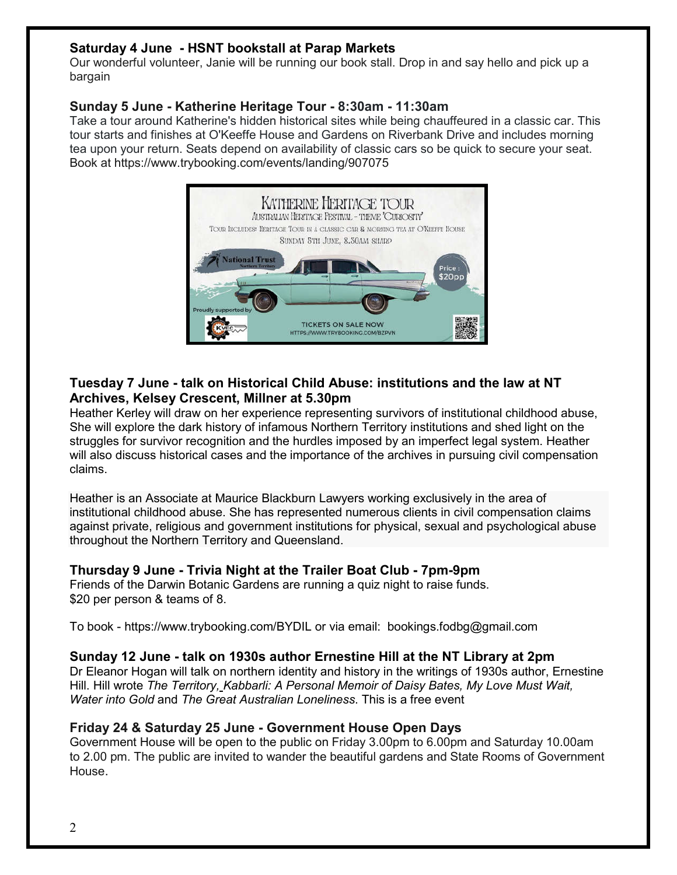## **Saturday 4 June - HSNT bookstall at Parap Markets**

Our wonderful volunteer, Janie will be running our book stall. Drop in and say hello and pick up a bargain

#### **Sunday 5 June - Katherine Heritage Tour - 8:30am - 11:30am**

Take a tour around Katherine's hidden historical sites while being chauffeured in a classic car. This tour starts and finishes at O'Keeffe House and Gardens on Riverbank Drive and includes morning tea upon your return. Seats depend on availability of classic cars so be quick to secure your seat. Book at https://www.trybooking.com/events/landing/907075



## **Tuesday 7 June - talk on Historical Child Abuse: institutions and the law at NT Archives, Kelsey Crescent, Millner at 5.30pm**

Heather Kerley will draw on her experience representing survivors of institutional childhood abuse, She will explore the dark history of infamous Northern Territory institutions and shed light on the struggles for survivor recognition and the hurdles imposed by an imperfect legal system. Heather will also discuss historical cases and the importance of the archives in pursuing civil compensation claims.

Heather is an Associate at Maurice Blackburn Lawyers working exclusively in the area of institutional childhood abuse. She has represented numerous clients in civil compensation claims against private, religious and government institutions for physical, sexual and psychological abuse throughout the Northern Territory and Queensland.

#### **Thursday 9 June - Trivia Night at the Trailer Boat Club - 7pm-9pm**

Friends of the Darwin Botanic Gardens are running a quiz night to raise funds. \$20 per person & teams of 8.

To book - https://www.trybooking.com/BYDIL or via email: bookings.fodbg@gmail.com

#### **Sunday 12 June - talk on 1930s author Ernestine Hill at the NT Library at 2pm**

Dr Eleanor Hogan will talk on northern identity and history in the writings of 1930s author, Ernestine Hill. Hill wrote *The Territory, Kabbarli: A Personal Memoir of Daisy Bates, My Love Must Wait, Water into Gold* and *The Great Australian Loneliness*. This is a free event

## **Friday 24 & Saturday 25 June - Government House Open Days**

Government House will be open to the public on Friday 3.00pm to 6.00pm and Saturday 10.00am to 2.00 pm. The public are invited to wander the beautiful gardens and State Rooms of Government House.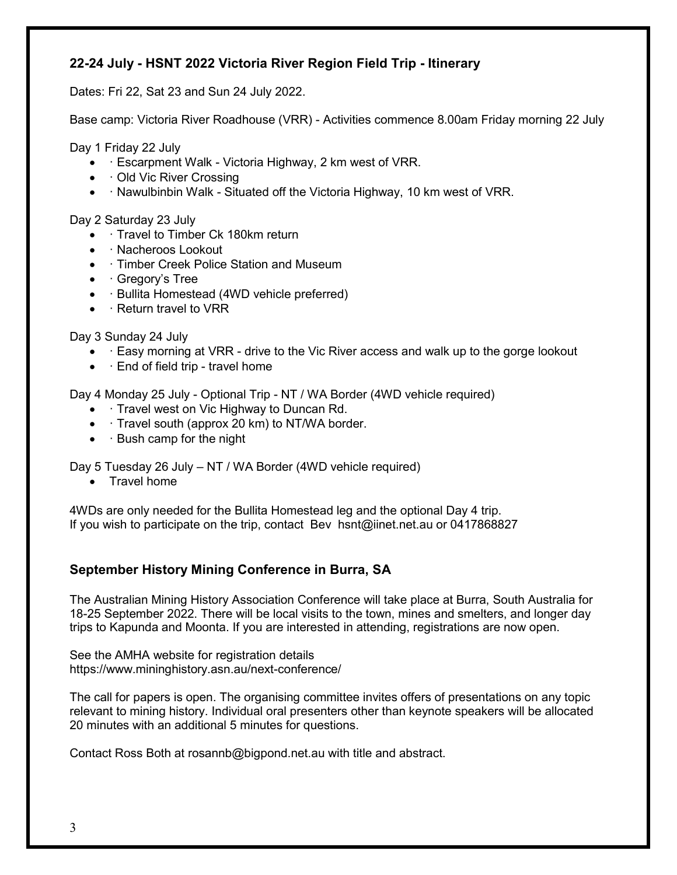## **22-24 July - HSNT 2022 Victoria River Region Field Trip - Itinerary**

Dates: Fri 22, Sat 23 and Sun 24 July 2022.

Base camp: Victoria River Roadhouse (VRR) - Activities commence 8.00am Friday morning 22 July

Day 1 Friday 22 July

- · Escarpment Walk Victoria Highway, 2 km west of VRR.
- Old Vic River Crossing
- · Nawulbinbin Walk Situated off the Victoria Highway, 10 km west of VRR.

Day 2 Saturday 23 July

- Travel to Timber Ck 180km return
- · Nacheroos Lookout
- · Timber Creek Police Station and Museum
- $\bullet$  · Gregory's Tree
- · Bullita Homestead (4WD vehicle preferred)
- $\bullet$  · Return travel to VRR

Day 3 Sunday 24 July

- Easy morning at VRR drive to the Vic River access and walk up to the gorge lookout
- $\bullet$   $\cdot$  End of field trip travel home

Day 4 Monday 25 July - Optional Trip - NT / WA Border (4WD vehicle required)

- Travel west on Vic Highway to Duncan Rd.
- · Travel south (approx 20 km) to NT/WA border.
- $\cdot$  Bush camp for the night

Day 5 Tuesday 26 July – NT / WA Border (4WD vehicle required)

• Travel home

4WDs are only needed for the Bullita Homestead leg and the optional Day 4 trip. If you wish to participate on the trip, contact Bev hsnt@iinet.net.au or 0417868827

## **September History Mining Conference in Burra, SA**

The Australian Mining History Association Conference will take place at Burra, South Australia for 18-25 September 2022. There will be local visits to the town, mines and smelters, and longer day trips to Kapunda and Moonta. If you are interested in attending, registrations are now open.

See the AMHA website for registration details https://www.mininghistory.asn.au/next-conference/

The call for papers is open. The organising committee invites offers of presentations on any topic relevant to mining history. Individual oral presenters other than keynote speakers will be allocated 20 minutes with an additional 5 minutes for questions.

Contact Ross Both at rosannb@bigpond.net.au with title and abstract.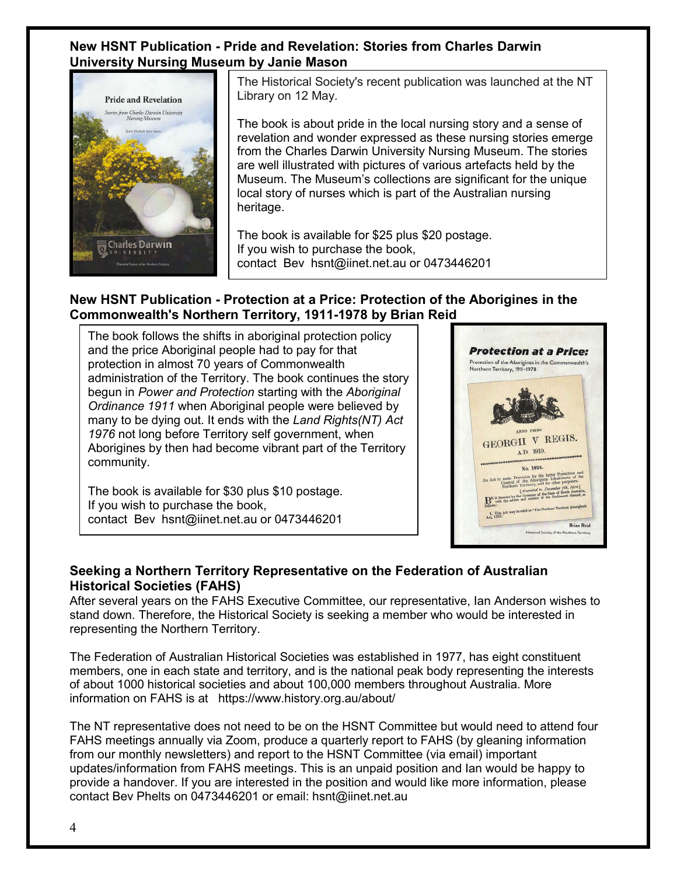#### **New HSNT Publication - Pride and Revelation: Stories from Charles Darwin University Nursing Museum by Janie Mason**



The Historical Society's recent publication was launched at the NT Library on 12 May.

The book is about pride in the local nursing story and a sense of revelation and wonder expressed as these nursing stories emerge from the Charles Darwin University Nursing Museum. The stories are well illustrated with pictures of various artefacts held by the Museum. The Museum's collections are significant for the unique local story of nurses which is part of the Australian nursing heritage.

The book is available for \$25 plus \$20 postage. If you wish to purchase the book, contact Bev hsnt@iinet.net.au or 0473446201

## **New HSNT Publication - Protection at a Price: Protection of the Aborigines in the Commonwealth's Northern Territory, 1911-1978 by Brian Reid**

The book follows the shifts in aboriginal protection policy and the price Aboriginal people had to pay for that protection in almost 70 years of Commonwealth administration of the Territory. The book continues the story begun in *Power and Protection* starting with the *Aboriginal Ordinance 1911* when Aboriginal people were believed by many to be dying out. It ends with the *Land Rights(NT) Act 1976* not long before Territory self government, when Aborigines by then had become vibrant part of the Territory community.

The book is available for \$30 plus \$10 postage. If you wish to purchase the book, contact Bev hsnt@iinet.net.au or 0473446201



#### **Seeking a Northern Territory Representative on the Federation of Australian Historical Societies (FAHS)**

After several years on the FAHS Executive Committee, our representative, Ian Anderson wishes to stand down. Therefore, the Historical Society is seeking a member who would be interested in representing the Northern Territory.

The Federation of Australian Historical Societies was established in 1977, has eight constituent members, one in each state and territory, and is the national peak body representing the interests of about 1000 historical societies and about 100,000 members throughout Australia. More information on FAHS is at https://www.history.org.au/about/

The NT representative does not need to be on the HSNT Committee but would need to attend four FAHS meetings annually via Zoom, produce a quarterly report to FAHS (by gleaning information from our monthly newsletters) and report to the HSNT Committee (via email) important updates/information from FAHS meetings. This is an unpaid position and Ian would be happy to provide a handover. If you are interested in the position and would like more information, please contact Bev Phelts on 0473446201 or email: hsnt@iinet.net.au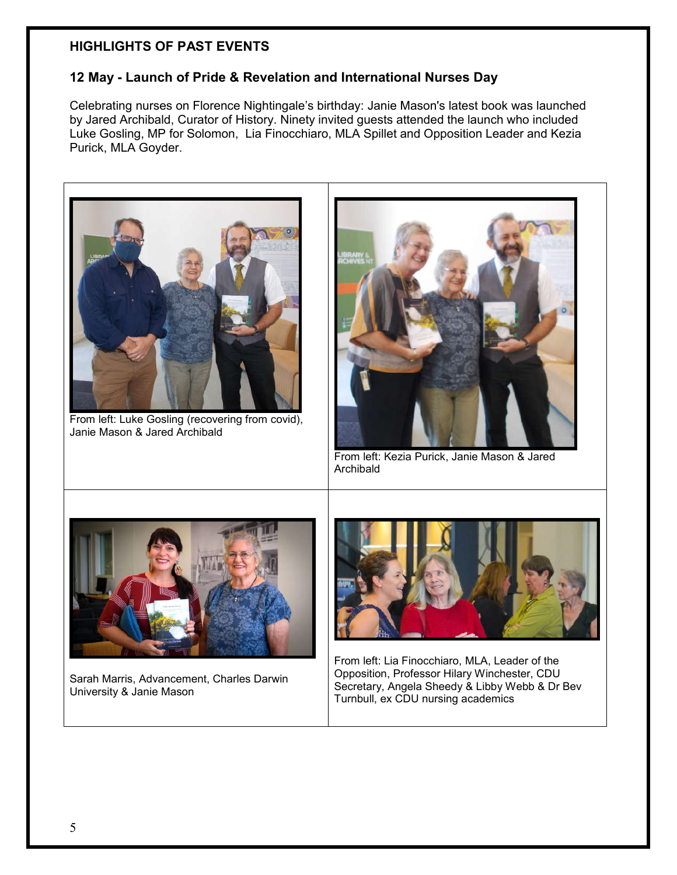## **HIGHLIGHTS OF PAST EVENTS**

## **12 May - Launch of Pride & Revelation and International Nurses Day**

Celebrating nurses on Florence Nightingale's birthday: Janie Mason's latest book was launched by Jared Archibald, Curator of History. Ninety invited guests attended the launch who included Luke Gosling, MP for Solomon, Lia Finocchiaro, MLA Spillet and Opposition Leader and Kezia Purick, MLA Goyder.

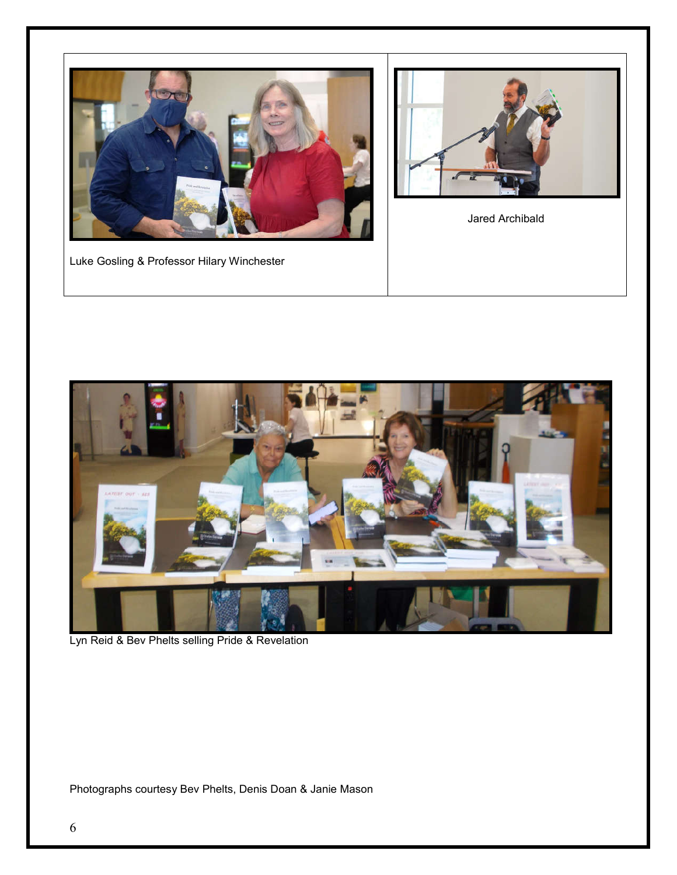



Jared Archibald

Luke Gosling & Professor Hilary Winchester



Lyn Reid & Bev Phelts selling Pride & Revelation

Photographs courtesy Bev Phelts, Denis Doan & Janie Mason